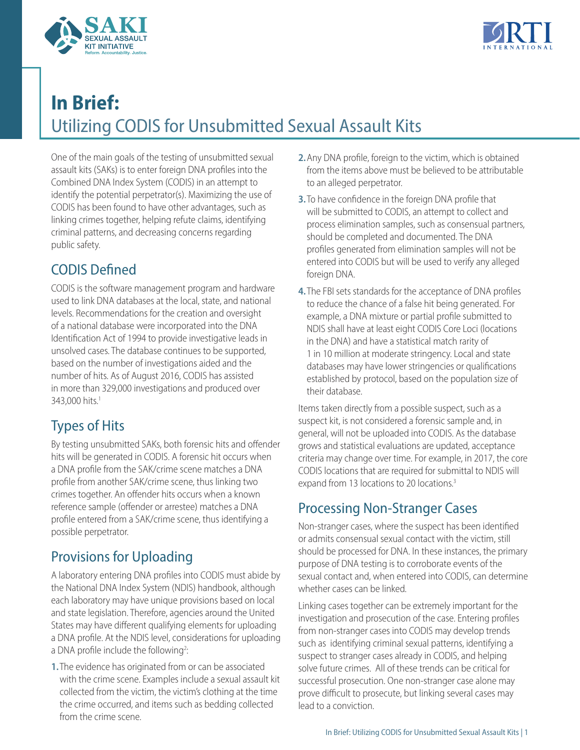



# **In Brief:**  Utilizing CODIS for Unsubmitted Sexual Assault Kits

One of the main goals of the testing of unsubmitted sexual assault kits (SAKs) is to enter foreign DNA profiles into the Combined DNA Index System (CODIS) in an attempt to identify the potential perpetrator(s). Maximizing the use of CODIS has been found to have other advantages, such as linking crimes together, helping refute claims, identifying criminal patterns, and decreasing concerns regarding public safety.

# CODIS Defined

CODIS is the software management program and hardware used to link DNA databases at the local, state, and national levels. Recommendations for the creation and oversight of a national database were incorporated into the DNA Identification Act of 1994 to provide investigative leads in unsolved cases. The database continues to be supported, based on the number of investigations aided and the number of hits. As of August 2016, CODIS has assisted in more than 329,000 investigations and produced over 343,000 hits.<sup>1</sup>

## <span id="page-0-0"></span>Types of Hits

<span id="page-0-2"></span>By testing unsubmitted SAKs, both forensic hits and offender hits will be generated in CODIS. A forensic hit occurs when a DNA profile from the SAK/crime scene matches a DNA profile from another SAK/crime scene, thus linking two crimes together. An offender hits occurs when a known reference sample (offender or arrestee) matches a DNA profile entered from a SAK/crime scene, thus identifying a possible perpetrator.

## Provisions for Uploading

A laboratory entering DNA profiles into CODIS must abide by the National DNA Index System (NDIS) handbook, although each laboratory may have unique provisions based on local and state legislation. Therefore, agencies around the United States may have different qualifying elements for uploading a DNA profile. At the NDIS level, considerations for uploading a DNA profile include the following<sup>2</sup>: :

<span id="page-0-1"></span>**1.** The evidence has originated from or can be associated with the crime scene. Examples include a sexual assault kit collected from the victim, the victim's clothing at the time the crime occurred, and items such as bedding collected from the crime scene.

- **2.** Any DNA profile, foreign to the victim, which is obtained from the items above must be believed to be attributable to an alleged perpetrator.
- **3.** To have confidence in the foreign DNA profile that will be submitted to CODIS, an attempt to collect and process elimination samples, such as consensual partners, should be completed and documented. The DNA profiles generated from elimination samples will not be entered into CODIS but will be used to verify any alleged foreign DNA.
- **4.** The FBI sets standards for the acceptance of DNA profiles to reduce the chance of a false hit being generated. For example, a DNA mixture or partial profile submitted to NDIS shall have at least eight CODIS Core Loci (locations in the DNA) and have a statistical match rarity of 1 in 10 million at moderate stringency. Local and state databases may have lower stringencies or qualifications established by protocol, based on the population size of their database.

Items taken directly from a possible suspect, such as a suspect kit, is not considered a forensic sample and, in general, will not be uploaded into CODIS. As the database grows and statistical evaluations are updated, acceptance criteria may change over time. For example, in 2017, the core CODIS locations that are required for submittal to NDIS will expand from 13 locations to 20 locations.<sup>3</sup>

## Processing Non-Stranger Cases

Non-stranger cases, where the suspect has been identified or admits consensual sexual contact with the victim, still should be processed for DNA. In these instances, the primary purpose of DNA testing is to corroborate events of the sexual contact and, when entered into CODIS, can determine whether cases can be linked.

Linking cases together can be extremely important for the investigation and prosecution of the case. Entering profiles from non-stranger cases into CODIS may develop trends such as identifying criminal sexual patterns, identifying a suspect to stranger cases already in CODIS, and helping solve future crimes. All of these trends can be critical for successful prosecution. One non-stranger case alone may prove difficult to prosecute, but linking several cases may lead to a conviction.